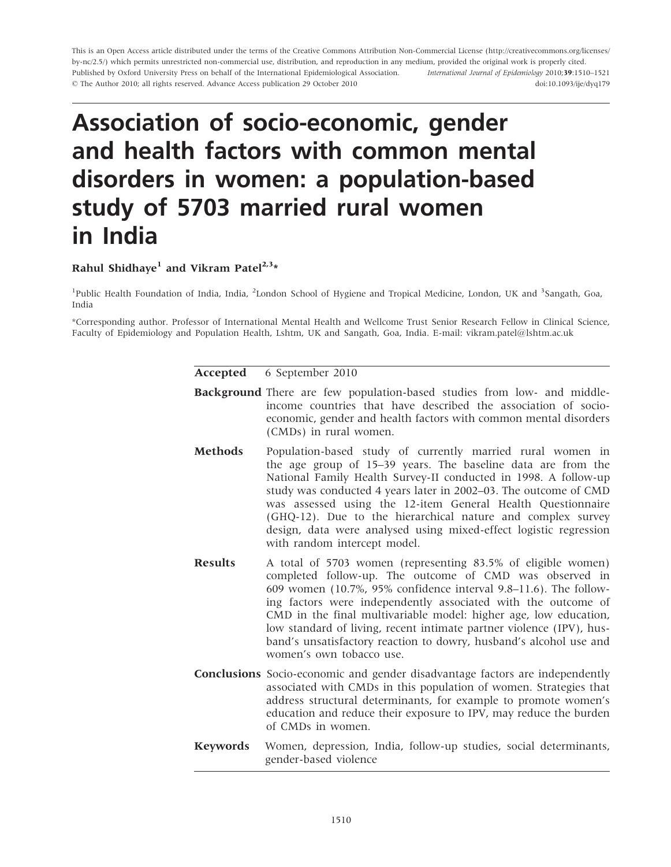This is an Open Access article distributed under the terms of the Creative Commons Attribution Non-Commercial License (<http://creativecommons.org/licenses/> by-nc/2.5/) which permits unrestricted non-commercial use, distribution, and reproduction in any medium, provided the original work is properly cited. Published by Oxford University Press on behalf of the International Epidemiological Association. © The Author 2010; all rights reserved. Advance Access publication 29 October 2010 International Journal of Epidemiology 2010;39:1510–1521 doi:10.1093/ije/dyq179

# Association of socio-economic, gender and health factors with common mental disorders in women: a population-based study of 5703 married rural women in India

Rahul Shidhaye<sup>1</sup> and Vikram Patel<sup>2,3\*</sup>

<sup>1</sup>Public Health Foundation of India, India, <sup>2</sup>London School of Hygiene and Tropical Medicine, London, UK and <sup>3</sup>Sangath, Goa, India

\*Corresponding author. Professor of International Mental Health and Wellcome Trust Senior Research Fellow in Clinical Science, Faculty of Epidemiology and Population Health, Lshtm, UK and Sangath, Goa, India. E-mail: vikram.patel@lshtm.ac.uk

Accepted 6 September 2010

- Background There are few population-based studies from low- and middleincome countries that have described the association of socioeconomic, gender and health factors with common mental disorders (CMDs) in rural women.
- Methods Population-based study of currently married rural women in the age group of 15–39 years. The baseline data are from the National Family Health Survey-II conducted in 1998. A follow-up study was conducted 4 years later in 2002–03. The outcome of CMD was assessed using the 12-item General Health Questionnaire (GHQ-12). Due to the hierarchical nature and complex survey design, data were analysed using mixed-effect logistic regression with random intercept model.
- Results A total of 5703 women (representing 83.5% of eligible women) completed follow-up. The outcome of CMD was observed in 609 women (10.7%, 95% confidence interval 9.8–11.6). The following factors were independently associated with the outcome of CMD in the final multivariable model: higher age, low education, low standard of living, recent intimate partner violence (IPV), husband's unsatisfactory reaction to dowry, husband's alcohol use and women's own tobacco use.
- Conclusions Socio-economic and gender disadvantage factors are independently associated with CMDs in this population of women. Strategies that address structural determinants, for example to promote women's education and reduce their exposure to IPV, may reduce the burden of CMDs in women.
- Keywords Women, depression, India, follow-up studies, social determinants, gender-based violence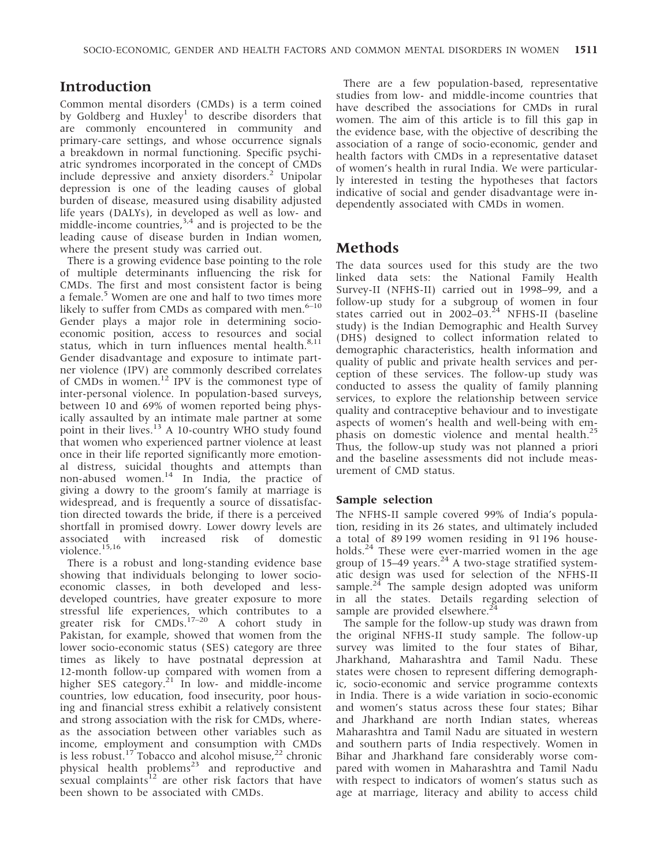# Introduction

Common mental disorders (CMDs) is a term coined by Goldberg and Huxley<sup>1</sup> to describe disorders that are commonly encountered in community and primary-care settings, and whose occurrence signals a breakdown in normal functioning. Specific psychiatric syndromes incorporated in the concept of CMDs include depressive and anxiety disorders.<sup>2</sup> Unipolar depression is one of the leading causes of global burden of disease, measured using disability adjusted life years (DALYs), in developed as well as low- and middle-income countries, $3,4$  and is projected to be the leading cause of disease burden in Indian women, where the present study was carried out.

There is a growing evidence base pointing to the role of multiple determinants influencing the risk for CMDs. The first and most consistent factor is being a female.<sup>5</sup> Women are one and half to two times more likely to suffer from CMDs as compared with men. $6-10$ Gender plays a major role in determining socioeconomic position, access to resources and social status, which in turn influences mental health.<sup>8,11</sup> Gender disadvantage and exposure to intimate partner violence (IPV) are commonly described correlates of CMDs in women.<sup>12</sup> IPV is the commonest type of inter-personal violence. In population-based surveys, between 10 and 69% of women reported being physically assaulted by an intimate male partner at some point in their lives.<sup>13</sup> A 10-country WHO study found that women who experienced partner violence at least once in their life reported significantly more emotional distress, suicidal thoughts and attempts than non-abused women.<sup>14</sup> In India, the practice of giving a dowry to the groom's family at marriage is widespread, and is frequently a source of dissatisfaction directed towards the bride, if there is a perceived shortfall in promised dowry. Lower dowry levels are associated with increased risk of domestic violence.<sup>15,16</sup>

There is a robust and long-standing evidence base showing that individuals belonging to lower socioeconomic classes, in both developed and lessdeveloped countries, have greater exposure to more stressful life experiences, which contributes to a greater risk for CMDs.<sup>17-20</sup> A cohort study in Pakistan, for example, showed that women from the lower socio-economic status (SES) category are three times as likely to have postnatal depression at 12-month follow-up compared with women from a higher SES category.<sup>21</sup> In low- and middle-income countries, low education, food insecurity, poor housing and financial stress exhibit a relatively consistent and strong association with the risk for CMDs, whereas the association between other variables such as income, employment and consumption with CMDs is less robust.<sup>17</sup> Tobacco and alcohol misuse,<sup>22</sup> chronic physical health problems<sup>23</sup> and reproductive and sexual complaints<sup>12</sup> are other risk factors that have been shown to be associated with CMDs.

There are a few population-based, representative studies from low- and middle-income countries that have described the associations for CMDs in rural women. The aim of this article is to fill this gap in the evidence base, with the objective of describing the association of a range of socio-economic, gender and health factors with CMDs in a representative dataset of women's health in rural India. We were particularly interested in testing the hypotheses that factors indicative of social and gender disadvantage were independently associated with CMDs in women.

## Methods

The data sources used for this study are the two linked data sets: the National Family Health Survey-II (NFHS-II) carried out in 1998–99, and a follow-up study for a subgroup of women in four states carried out in  $2002-03.<sup>24</sup>$  NFHS-II (baseline study) is the Indian Demographic and Health Survey (DHS) designed to collect information related to demographic characteristics, health information and quality of public and private health services and perception of these services. The follow-up study was conducted to assess the quality of family planning services, to explore the relationship between service quality and contraceptive behaviour and to investigate aspects of women's health and well-being with emphasis on domestic violence and mental health.<sup>25</sup> Thus, the follow-up study was not planned a priori and the baseline assessments did not include measurement of CMD status.

### Sample selection

The NFHS-II sample covered 99% of India's population, residing in its 26 states, and ultimately included a total of 89 199 women residing in 91 196 households.<sup>24</sup> These were ever-married women in the age group of 15–49 years. $^{24}$  A two-stage stratified systematic design was used for selection of the NFHS-II sample.<sup>24</sup> The sample design adopted was uniform in all the states. Details regarding selection of sample are provided elsewhere.<sup>24</sup>

The sample for the follow-up study was drawn from the original NFHS-II study sample. The follow-up survey was limited to the four states of Bihar, Jharkhand, Maharashtra and Tamil Nadu. These states were chosen to represent differing demographic, socio-economic and service programme contexts in India. There is a wide variation in socio-economic and women's status across these four states; Bihar and Jharkhand are north Indian states, whereas Maharashtra and Tamil Nadu are situated in western and southern parts of India respectively. Women in Bihar and Jharkhand fare considerably worse compared with women in Maharashtra and Tamil Nadu with respect to indicators of women's status such as age at marriage, literacy and ability to access child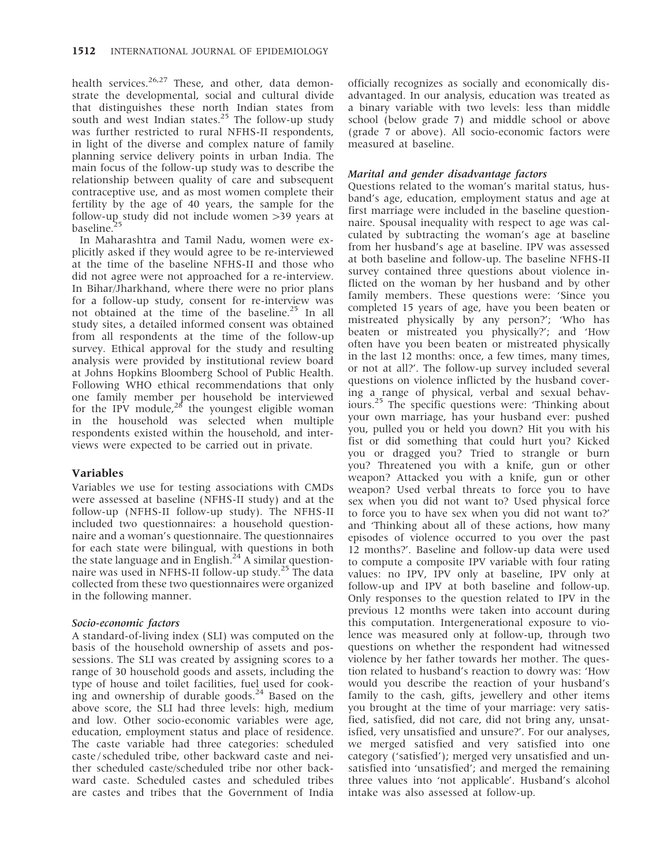health services. $26,27$  These, and other, data demonstrate the developmental, social and cultural divide that distinguishes these north Indian states from south and west Indian states.<sup>25</sup> The follow-up study was further restricted to rural NFHS-II respondents, in light of the diverse and complex nature of family planning service delivery points in urban India. The main focus of the follow-up study was to describe the relationship between quality of care and subsequent contraceptive use, and as most women complete their fertility by the age of 40 years, the sample for the follow-up study did not include women >39 years at baseline.<sup>4</sup>

In Maharashtra and Tamil Nadu, women were explicitly asked if they would agree to be re-interviewed at the time of the baseline NFHS-II and those who did not agree were not approached for a re-interview. In Bihar/Jharkhand, where there were no prior plans for a follow-up study, consent for re-interview was not obtained at the time of the baseline.<sup>25</sup> In all study sites, a detailed informed consent was obtained from all respondents at the time of the follow-up survey. Ethical approval for the study and resulting analysis were provided by institutional review board at Johns Hopkins Bloomberg School of Public Health. Following WHO ethical recommendations that only one family member per household be interviewed for the IPV module, $28$  the youngest eligible woman in the household was selected when multiple respondents existed within the household, and interviews were expected to be carried out in private.

## Variables

Variables we use for testing associations with CMDs were assessed at baseline (NFHS-II study) and at the follow-up (NFHS-II follow-up study). The NFHS-II included two questionnaires: a household questionnaire and a woman's questionnaire. The questionnaires for each state were bilingual, with questions in both the state language and in English.<sup>24</sup> A similar questionnaire was used in NFHS-II follow-up study.<sup>25</sup> The data collected from these two questionnaires were organized in the following manner.

### Socio-economic factors

A standard-of-living index (SLI) was computed on the basis of the household ownership of assets and possessions. The SLI was created by assigning scores to a range of 30 household goods and assets, including the type of house and toilet facilities, fuel used for cooking and ownership of durable goods. $^{24}$  Based on the above score, the SLI had three levels: high, medium and low. Other socio-economic variables were age, education, employment status and place of residence. The caste variable had three categories: scheduled caste / scheduled tribe, other backward caste and neither scheduled caste/scheduled tribe nor other backward caste. Scheduled castes and scheduled tribes are castes and tribes that the Government of India

officially recognizes as socially and economically disadvantaged. In our analysis, education was treated as a binary variable with two levels: less than middle school (below grade 7) and middle school or above (grade 7 or above). All socio-economic factors were measured at baseline.

### Marital and gender disadvantage factors

Questions related to the woman's marital status, husband's age, education, employment status and age at first marriage were included in the baseline questionnaire. Spousal inequality with respect to age was calculated by subtracting the woman's age at baseline from her husband's age at baseline. IPV was assessed at both baseline and follow-up. The baseline NFHS-II survey contained three questions about violence inflicted on the woman by her husband and by other family members. These questions were: 'Since you completed 15 years of age, have you been beaten or mistreated physically by any person?'; 'Who has beaten or mistreated you physically?'; and 'How often have you been beaten or mistreated physically in the last 12 months: once, a few times, many times, or not at all?'. The follow-up survey included several questions on violence inflicted by the husband covering a range of physical, verbal and sexual behaviours.<sup>25</sup> The specific questions were: 'Thinking about your own marriage, has your husband ever: pushed you, pulled you or held you down? Hit you with his fist or did something that could hurt you? Kicked you or dragged you? Tried to strangle or burn you? Threatened you with a knife, gun or other weapon? Attacked you with a knife, gun or other weapon? Used verbal threats to force you to have sex when you did not want to? Used physical force to force you to have sex when you did not want to?' and 'Thinking about all of these actions, how many episodes of violence occurred to you over the past 12 months?'. Baseline and follow-up data were used to compute a composite IPV variable with four rating values: no IPV, IPV only at baseline, IPV only at follow-up and IPV at both baseline and follow-up. Only responses to the question related to IPV in the previous 12 months were taken into account during this computation. Intergenerational exposure to violence was measured only at follow-up, through two questions on whether the respondent had witnessed violence by her father towards her mother. The question related to husband's reaction to dowry was: 'How would you describe the reaction of your husband's family to the cash, gifts, jewellery and other items you brought at the time of your marriage: very satisfied, satisfied, did not care, did not bring any, unsatisfied, very unsatisfied and unsure?'. For our analyses, we merged satisfied and very satisfied into one category ('satisfied'); merged very unsatisfied and unsatisfied into 'unsatisfied'; and merged the remaining three values into 'not applicable'. Husband's alcohol intake was also assessed at follow-up.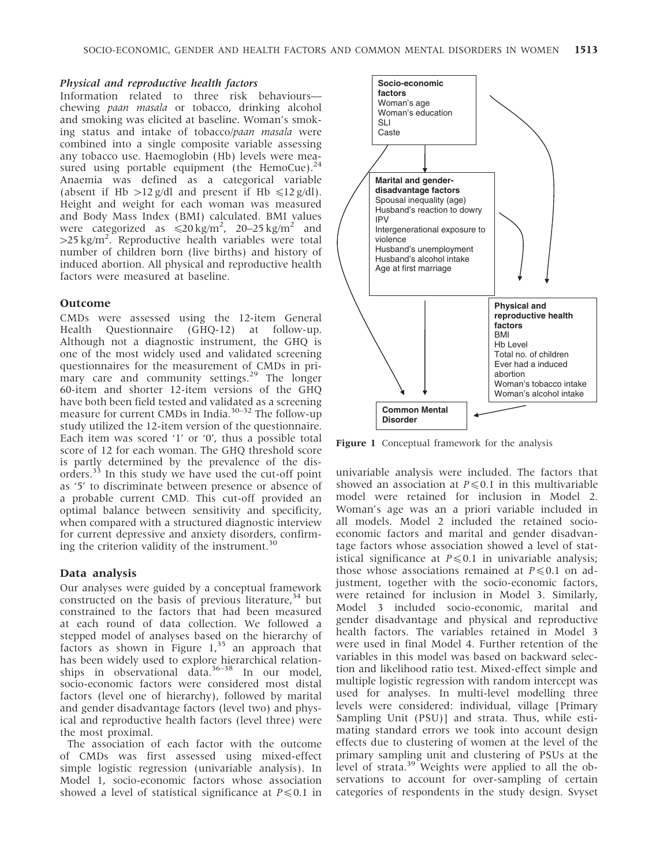#### Physical and reproductive health factors

Information related to three risk behaviours chewing paan masala or tobacco, drinking alcohol and smoking was elicited at baseline. Woman's smoking status and intake of tobacco/paan masala were combined into a single composite variable assessing any tobacco use. Haemoglobin (Hb) levels were measured using portable equipment (the HemoCue).<sup>24</sup> Anaemia was defined as a categorical variable (absent if Hb  $>12$  g/dl and present if Hb  $\leq 12$  g/dl). Height and weight for each woman was measured and Body Mass Index (BMI) calculated. BMI values were categorized as  $\leq 20 \text{ kg/m}^2$ , 20–25 kg/m<sup>2</sup> and  $>$ 25 kg/m<sup>2</sup>. Reproductive health variables were total number of children born (live births) and history of induced abortion. All physical and reproductive health factors were measured at baseline.

#### Outcome

CMDs were assessed using the 12-item General Health Questionnaire (GHQ-12) at follow-up. Although not a diagnostic instrument, the GHQ is one of the most widely used and validated screening questionnaires for the measurement of CMDs in primary care and community settings.<sup>29</sup> The longer 60-item and shorter 12-item versions of the GHQ have both been field tested and validated as a screening measure for current CMDs in India.<sup>30–32</sup> The follow-up study utilized the 12-item version of the questionnaire. Each item was scored '1' or '0', thus a possible total score of 12 for each woman. The GHQ threshold score is partly determined by the prevalence of the disorders.<sup>33</sup> In this study we have used the cut-off point as '5' to discriminate between presence or absence of a probable current CMD. This cut-off provided an optimal balance between sensitivity and specificity, when compared with a structured diagnostic interview for current depressive and anxiety disorders, confirming the criterion validity of the instrument. $^{30}$ 

#### Data analysis

Our analyses were guided by a conceptual framework constructed on the basis of previous literature,  $34$  but constrained to the factors that had been measured at each round of data collection. We followed a stepped model of analyses based on the hierarchy of factors as shown in Figure  $1<sup>35</sup>$  an approach that has been widely used to explore hierarchical relationships in observational data. $36-38$  In our model, socio-economic factors were considered most distal factors (level one of hierarchy), followed by marital and gender disadvantage factors (level two) and physical and reproductive health factors (level three) were the most proximal.

The association of each factor with the outcome of CMDs was first assessed using mixed-effect simple logistic regression (univariable analysis). In Model 1, socio-economic factors whose association showed a level of statistical significance at  $P \le 0.1$  in



Figure 1 Conceptual framework for the analysis

univariable analysis were included. The factors that showed an association at  $P \le 0.1$  in this multivariable model were retained for inclusion in Model 2. Woman's age was an a priori variable included in all models. Model 2 included the retained socioeconomic factors and marital and gender disadvantage factors whose association showed a level of statistical significance at  $P \le 0.1$  in univariable analysis; those whose associations remained at  $P \le 0.1$  on adjustment, together with the socio-economic factors, were retained for inclusion in Model 3. Similarly, Model 3 included socio-economic, marital and gender disadvantage and physical and reproductive health factors. The variables retained in Model 3 were used in final Model 4. Further retention of the variables in this model was based on backward selection and likelihood ratio test. Mixed-effect simple and multiple logistic regression with random intercept was used for analyses. In multi-level modelling three levels were considered: individual, village [Primary Sampling Unit (PSU)] and strata. Thus, while estimating standard errors we took into account design effects due to clustering of women at the level of the primary sampling unit and clustering of PSUs at the level of strata.<sup>39</sup> Weights were applied to all the observations to account for over-sampling of certain categories of respondents in the study design. Svyset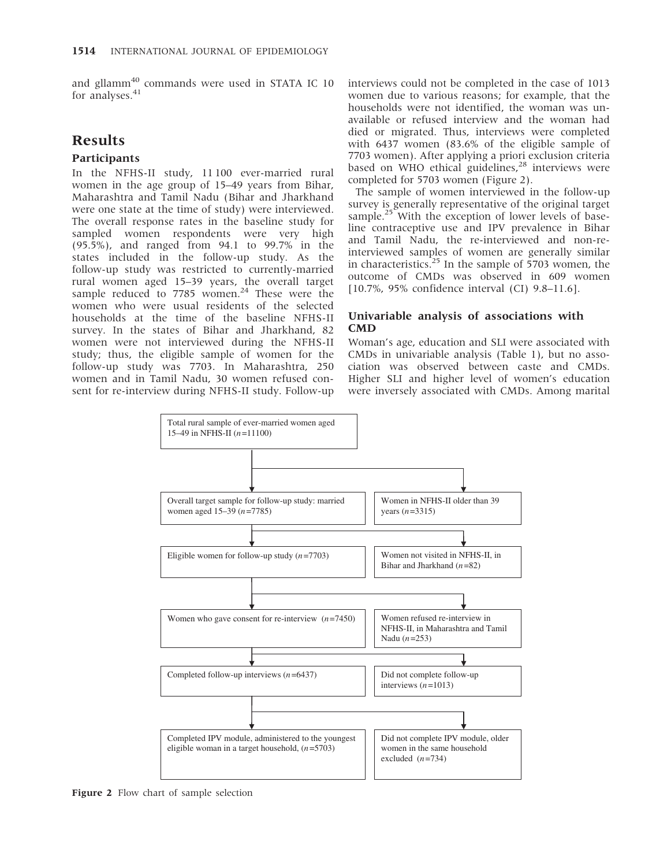and gllamm<sup>40</sup> commands were used in STATA IC 10 for analyses.<sup>41</sup>

# Results

## **Participants**

In the NFHS-II study, 11 100 ever-married rural women in the age group of 15–49 years from Bihar, Maharashtra and Tamil Nadu (Bihar and Jharkhand were one state at the time of study) were interviewed. The overall response rates in the baseline study for sampled women respondents were very high (95.5%), and ranged from 94.1 to 99.7% in the states included in the follow-up study. As the follow-up study was restricted to currently-married rural women aged 15–39 years, the overall target sample reduced to 7785 women.<sup>24</sup> These were the women who were usual residents of the selected households at the time of the baseline NFHS-II survey. In the states of Bihar and Jharkhand, 82 women were not interviewed during the NFHS-II study; thus, the eligible sample of women for the follow-up study was 7703. In Maharashtra, 250 women and in Tamil Nadu, 30 women refused consent for re-interview during NFHS-II study. Follow-up interviews could not be completed in the case of 1013 women due to various reasons; for example, that the households were not identified, the woman was unavailable or refused interview and the woman had died or migrated. Thus, interviews were completed with 6437 women (83.6% of the eligible sample of 7703 women). After applying a priori exclusion criteria  $\frac{1}{28}$  based on WHO ethical guidelines,<sup>28</sup> interviews were completed for 5703 women (Figure 2).

The sample of women interviewed in the follow-up survey is generally representative of the original target sample.<sup>25</sup> With the exception of lower levels of baseline contraceptive use and IPV prevalence in Bihar and Tamil Nadu, the re-interviewed and non-reinterviewed samples of women are generally similar in characteristics. $25$  In the sample of 5703 women, the outcome of CMDs was observed in 609 women [10.7%, 95% confidence interval (CI) 9.8–11.6].

## Univariable analysis of associations with CMD

Woman's age, education and SLI were associated with CMDs in univariable analysis (Table 1), but no association was observed between caste and CMDs. Higher SLI and higher level of women's education were inversely associated with CMDs. Among marital



Figure 2 Flow chart of sample selection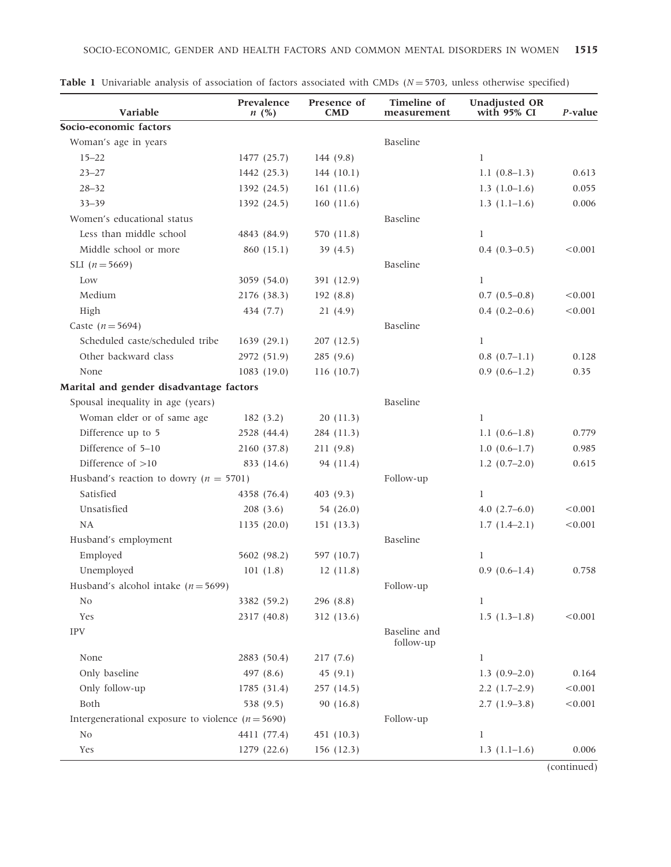| Variable                                            | Prevalence<br>n(%) | Presence of<br><b>CMD</b> | <b>Timeline</b> of<br>measurement | <b>Unadjusted OR</b><br>with 95% CI | $P$ -value |
|-----------------------------------------------------|--------------------|---------------------------|-----------------------------------|-------------------------------------|------------|
| Socio-economic factors                              |                    |                           |                                   |                                     |            |
| Woman's age in years                                |                    |                           | Baseline                          |                                     |            |
| $15 - 22$                                           | 1477 (25.7)        | 144 (9.8)                 |                                   | $\mathbf l$                         |            |
| $23 - 27$                                           | 1442 (25.3)        | 144(10.1)                 |                                   | 1.1 $(0.8-1.3)$                     | 0.613      |
| $28 - 32$                                           | 1392 (24.5)        | 161(11.6)                 |                                   | $1.3(1.0-1.6)$                      | 0.055      |
| $33 - 39$                                           | 1392 (24.5)        | 160(11.6)                 |                                   | $1.3(1.1-1.6)$                      | 0.006      |
| Women's educational status                          |                    |                           | Baseline                          |                                     |            |
| Less than middle school                             | 4843 (84.9)        | 570 (11.8)                |                                   | $\mathbf l$                         |            |
| Middle school or more                               | 860 (15.1)         | 39 $(4.5)$                |                                   | $0.4(0.3-0.5)$                      | < 0.001    |
| SLI $(n = 5669)$                                    |                    |                           | Baseline                          |                                     |            |
| Low                                                 | 3059 (54.0)        | 391 (12.9)                |                                   | $\mathbf l$                         |            |
| Medium                                              | 2176 (38.3)        | 192(8.8)                  |                                   | $0.7(0.5-0.8)$                      | < 0.001    |
| High                                                | 434 (7.7)          | 21(4.9)                   |                                   | $0.4(0.2-0.6)$                      | < 0.001    |
| Caste ( $n = 5694$ )                                |                    |                           | Baseline                          |                                     |            |
| Scheduled caste/scheduled tribe                     | 1639(29.1)         | 207 (12.5)                |                                   | 1                                   |            |
| Other backward class                                | 2972 (51.9)        | 285(9.6)                  |                                   | $0.8(0.7-1.1)$                      | 0.128      |
| None                                                | 1083(19.0)         | 116 (10.7)                |                                   | $0.9(0.6-1.2)$                      | 0.35       |
| Marital and gender disadvantage factors             |                    |                           |                                   |                                     |            |
| Spousal inequality in age (years)                   |                    |                           | Baseline                          |                                     |            |
| Woman elder or of same age                          | 182(3.2)           | 20(11.3)                  |                                   | $\mathbf l$                         |            |
| Difference up to 5                                  | 2528 (44.4)        | 284 (11.3)                |                                   | 1.1 $(0.6-1.8)$                     | 0.779      |
| Difference of 5-10                                  | 2160 (37.8)        | 211 (9.8)                 |                                   | $1.0(0.6-1.7)$                      | 0.985      |
| Difference of $>10$                                 | 833 (14.6)         | 94 (11.4)                 |                                   | $1.2(0.7-2.0)$                      | 0.615      |
| Husband's reaction to dowry ( $n = 5701$ )          |                    |                           | Follow-up                         |                                     |            |
| Satisfied                                           | 4358 (76.4)        | 403 (9.3)                 |                                   | 1                                   |            |
| Unsatisfied                                         | 208(3.6)           | 54 (26.0)                 |                                   | $4.0(2.7-6.0)$                      | < 0.001    |
| <b>NA</b>                                           | 1135(20.0)         | 151(13.3)                 |                                   | $1.7(1.4-2.1)$                      | < 0.001    |
| Husband's employment                                |                    |                           | Baseline                          |                                     |            |
| Employed                                            | 5602 (98.2)        | 597 (10.7)                |                                   | 1                                   |            |
| Unemployed                                          | 101(1.8)           | 12(11.8)                  |                                   | $0.9(0.6-1.4)$                      | 0.758      |
| Husband's alcohol intake ( $n = 5699$ )             |                    |                           | Follow-up                         |                                     |            |
| No                                                  | 3382 (59.2)        | 296 (8.8)                 |                                   | 1                                   |            |
| Yes                                                 | 2317 (40.8)        | 312 (13.6)                |                                   | $1.5(1.3-1.8)$                      | < 0.001    |
| <b>IPV</b>                                          |                    |                           | Baseline and<br>follow-up         |                                     |            |
| None                                                | 2883 (50.4)        | 217(7.6)                  |                                   | 1                                   |            |
| Only baseline                                       | 497 (8.6)          | 45 $(9.1)$                |                                   | $1.3(0.9-2.0)$                      | 0.164      |
| Only follow-up                                      | 1785 (31.4)        | 257 (14.5)                |                                   | $2.2(1.7-2.9)$                      | < 0.001    |
| Both                                                | 538 (9.5)          | 90 (16.8)                 |                                   | $2.7(1.9-3.8)$                      | < 0.001    |
| Intergenerational exposure to violence $(n = 5690)$ |                    |                           | Follow-up                         |                                     |            |
| No                                                  | 4411 (77.4)        | 451 (10.3)                |                                   | $\mathbf l$                         |            |
| Yes                                                 | 1279 (22.6)        | 156(12.3)                 |                                   | $1.3(1.1-1.6)$                      | 0.006      |

|  | <b>Table 1</b> Univariable analysis of association of factors associated with CMDs $(N = 5703)$ , unless otherwise specified) |  |  |  |  |  |  |  |  |  |
|--|-------------------------------------------------------------------------------------------------------------------------------|--|--|--|--|--|--|--|--|--|
|--|-------------------------------------------------------------------------------------------------------------------------------|--|--|--|--|--|--|--|--|--|

(continued)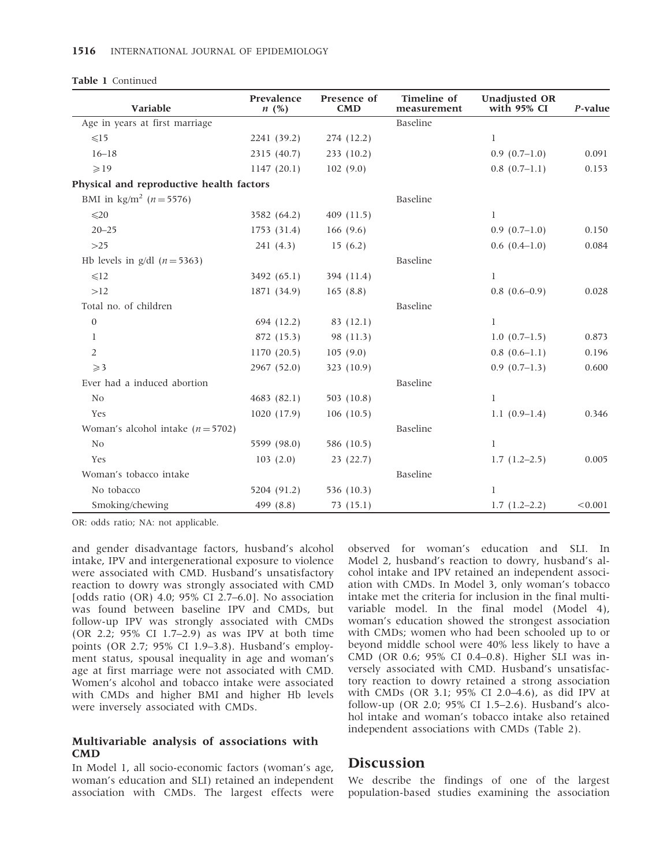|  | Table 1 Continued |
|--|-------------------|
|--|-------------------|

| Variable                                  | Prevalence<br>n(%) | Presence of<br><b>CMD</b> | Timeline of<br>measurement | <b>Unadjusted OR</b><br>with 95% CI | P-value |
|-------------------------------------------|--------------------|---------------------------|----------------------------|-------------------------------------|---------|
| Age in years at first marriage            |                    |                           | Baseline                   |                                     |         |
| $\leq 15$                                 | 2241 (39.2)        | 274 (12.2)                |                            | $\bf{l}$                            |         |
| $16 - 18$                                 | 2315 (40.7)        | 233 (10.2)                |                            | $0.9(0.7-1.0)$                      | 0.091   |
| $\geqslant$ 19                            | 1147(20.1)         | 102(9.0)                  |                            | $0.8(0.7-1.1)$                      | 0.153   |
| Physical and reproductive health factors  |                    |                           |                            |                                     |         |
| BMI in $\text{kg/m}^2$ ( <i>n</i> = 5576) |                    |                           | Baseline                   |                                     |         |
| $\leq 20$                                 | 3582 (64.2)        | 409 (11.5)                |                            | 1                                   |         |
| $20 - 25$                                 | 1753 (31.4)        | 166 $(9.6)$               |                            | $0.9(0.7-1.0)$                      | 0.150   |
| $>25$                                     | 241(4.3)           | 15(6.2)                   |                            | $0.6(0.4-1.0)$                      | 0.084   |
| Hb levels in g/dl $(n=5363)$              |                    |                           | Baseline                   |                                     |         |
| $\leq 12$                                 | 3492 (65.1)        | 394 (11.4)                |                            | 1                                   |         |
| >12                                       | 1871 (34.9)        | 165(8.8)                  |                            | $0.8(0.6-0.9)$                      | 0.028   |
| Total no. of children                     |                    |                           | Baseline                   |                                     |         |
| $\boldsymbol{0}$                          | 694 (12.2)         | 83 (12.1)                 |                            | $\mathbf{1}$                        |         |
| 1                                         | 872 (15.3)         | 98 (11.3)                 |                            | $1.0(0.7-1.5)$                      | 0.873   |
| $\overline{2}$                            | 1170(20.5)         | 105(9.0)                  |                            | $0.8(0.6-1.1)$                      | 0.196   |
| $\geqslant$ 3                             | 2967 (52.0)        | 323 (10.9)                |                            | $0.9(0.7-1.3)$                      | 0.600   |
| Ever had a induced abortion               |                    |                           | Baseline                   |                                     |         |
| N <sub>0</sub>                            | 4683(82.1)         | 503 (10.8)                |                            | 1                                   |         |
| Yes                                       | 1020(17.9)         | 106(10.5)                 |                            | $1.1(0.9-1.4)$                      | 0.346   |
| Woman's alcohol intake $(n = 5702)$       |                    |                           | Baseline                   |                                     |         |
| N <sub>0</sub>                            | 5599 (98.0)        | 586 (10.5)                |                            | $\bf{l}$                            |         |
| Yes                                       | 103(2.0)           | 23(22.7)                  |                            | $1.7(1.2-2.5)$                      | 0.005   |
| Woman's tobacco intake                    |                    |                           | Baseline                   |                                     |         |
| No tobacco                                | 5204 (91.2)        | 536 (10.3)                |                            | 1                                   |         |
| Smoking/chewing                           | 499 (8.8)          | 73(15.1)                  |                            | $1.7(1.2-2.2)$                      | < 0.001 |

OR: odds ratio; NA: not applicable.

and gender disadvantage factors, husband's alcohol intake, IPV and intergenerational exposure to violence were associated with CMD. Husband's unsatisfactory reaction to dowry was strongly associated with CMD [odds ratio (OR) 4.0; 95% CI 2.7–6.0]. No association was found between baseline IPV and CMDs, but follow-up IPV was strongly associated with CMDs (OR 2.2; 95% CI 1.7–2.9) as was IPV at both time points (OR 2.7; 95% CI 1.9–3.8). Husband's employment status, spousal inequality in age and woman's age at first marriage were not associated with CMD. Women's alcohol and tobacco intake were associated with CMDs and higher BMI and higher Hb levels were inversely associated with CMDs.

## Multivariable analysis of associations with CMD

In Model 1, all socio-economic factors (woman's age, woman's education and SLI) retained an independent association with CMDs. The largest effects were observed for woman's education and SLI. In Model 2, husband's reaction to dowry, husband's alcohol intake and IPV retained an independent association with CMDs. In Model 3, only woman's tobacco intake met the criteria for inclusion in the final multivariable model. In the final model (Model 4), woman's education showed the strongest association with CMDs; women who had been schooled up to or beyond middle school were 40% less likely to have a CMD (OR 0.6; 95% CI 0.4–0.8). Higher SLI was inversely associated with CMD. Husband's unsatisfactory reaction to dowry retained a strong association with CMDs (OR 3.1; 95% CI 2.0–4.6), as did IPV at follow-up (OR 2.0; 95% CI 1.5–2.6). Husband's alcohol intake and woman's tobacco intake also retained independent associations with CMDs (Table 2).

## Discussion

We describe the findings of one of the largest population-based studies examining the association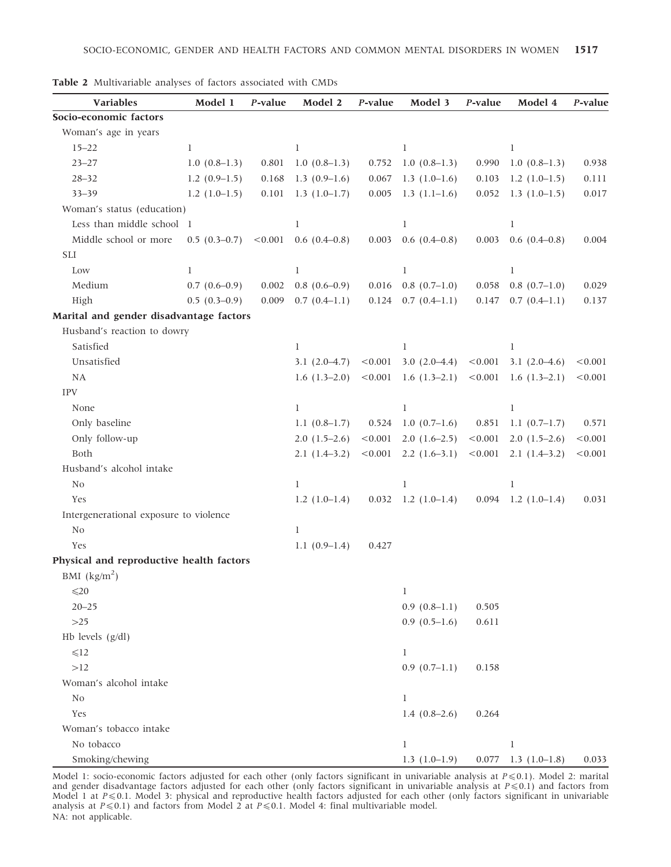| Variables                                | Model 1        | P-value | Model 2         | P-value | Model 3         | P-value | Model 4               | P-value |
|------------------------------------------|----------------|---------|-----------------|---------|-----------------|---------|-----------------------|---------|
| Socio-economic factors                   |                |         |                 |         |                 |         |                       |         |
| Woman's age in years                     |                |         |                 |         |                 |         |                       |         |
| $15 - 22$                                | $\mathbf{l}$   |         | $\mathbf{l}$    |         | $\mathbf{1}$    |         | $\mathbf l$           |         |
| $23 - 27$                                | $1.0(0.8-1.3)$ | 0.801   | $1.0(0.8-1.3)$  | 0.752   | $1.0(0.8-1.3)$  | 0.990   | $1.0(0.8-1.3)$        | 0.938   |
| $28 - 32$                                | $1.2(0.9-1.5)$ | 0.168   | $1.3(0.9-1.6)$  | 0.067   | $1.3(1.0-1.6)$  | 0.103   | $1.2(1.0-1.5)$        | 0.111   |
| $33 - 39$                                | $1.2(1.0-1.5)$ | 0.101   | $1.3(1.0-1.7)$  | 0.005   | $1.3(1.1-1.6)$  | 0.052   | $1.3(1.0-1.5)$        | 0.017   |
| Woman's status (education)               |                |         |                 |         |                 |         |                       |         |
| Less than middle school 1                |                |         | 1               |         | $\mathbf{1}$    |         | $\mathbf l$           |         |
| Middle school or more                    | $0.5(0.3-0.7)$ | < 0.001 | $0.6(0.4-0.8)$  | 0.003   | $0.6(0.4-0.8)$  | 0.003   | $0.6(0.4-0.8)$        | 0.004   |
| <b>SLI</b>                               |                |         |                 |         |                 |         |                       |         |
| Low                                      | 1              |         | 1               |         | 1               |         | 1                     |         |
| Medium                                   | $0.7(0.6-0.9)$ | 0.002   | $0.8(0.6-0.9)$  | 0.016   | $0.8(0.7-1.0)$  | 0.058   | $0.8(0.7-1.0)$        | 0.029   |
| High                                     | $0.5(0.3-0.9)$ | 0.009   | $0.7(0.4-1.1)$  | 0.124   | $0.7(0.4-1.1)$  | 0.147   | $0.7(0.4-1.1)$        | 0.137   |
| Marital and gender disadvantage factors  |                |         |                 |         |                 |         |                       |         |
| Husband's reaction to dowry              |                |         |                 |         |                 |         |                       |         |
| Satisfied                                |                |         | 1               |         | $\mathbf{1}$    |         | $\mathbf{l}$          |         |
| Unsatisfied                              |                |         | $3.1(2.0-4.7)$  | < 0.001 | $3.0(2.0-4.4)$  | < 0.001 | $3.1(2.0-4.6)$        | < 0.001 |
| NA                                       |                |         | $1.6(1.3-2.0)$  | < 0.001 | $1.6(1.3-2.1)$  | < 0.001 | $1.6(1.3-2.1)$        | < 0.001 |
| <b>IPV</b>                               |                |         |                 |         |                 |         |                       |         |
| None                                     |                |         | 1               |         | $\mathbf l$     |         | 1                     |         |
| Only baseline                            |                |         | 1.1 $(0.8-1.7)$ | 0.524   | $1.0(0.7-1.6)$  | 0.851   | $1.1(0.7-1.7)$        | 0.571   |
| Only follow-up                           |                |         | $2.0(1.5-2.6)$  | < 0.001 | $2.0(1.6-2.5)$  | < 0.001 | $2.0(1.5-2.6)$        | < 0.001 |
| Both                                     |                |         | $2.1(1.4-3.2)$  | < 0.001 | $2.2(1.6-3.1)$  | < 0.001 | $2.1(1.4-3.2)$        | < 0.001 |
| Husband's alcohol intake                 |                |         |                 |         |                 |         |                       |         |
| No                                       |                |         | $\mathbf l$     |         | $\bf{l}$        |         | $\mathbf l$           |         |
| Yes                                      |                |         | $1.2(1.0-1.4)$  | 0.032   | $1.2(1.0-1.4)$  | 0.094   | $1.2(1.0-1.4)$        | 0.031   |
| Intergenerational exposure to violence   |                |         |                 |         |                 |         |                       |         |
| No                                       |                |         | $\mathbf{l}$    |         |                 |         |                       |         |
| Yes                                      |                |         | $1.1(0.9-1.4)$  | 0.427   |                 |         |                       |         |
| Physical and reproductive health factors |                |         |                 |         |                 |         |                       |         |
| BMI $\frac{\text{kg}}{\text{m}^2}$       |                |         |                 |         |                 |         |                       |         |
| $\leq 20$                                |                |         |                 |         | 1               |         |                       |         |
| $20 - 25$                                |                |         |                 |         | $0.9(0.8-1.1)$  | 0.505   |                       |         |
| $>25$                                    |                |         |                 |         | $0.9(0.5-1.6)$  | 0.611   |                       |         |
| Hb levels $(g/dl)$                       |                |         |                 |         |                 |         |                       |         |
| $\leq 12$                                |                |         |                 |         | $\mathbf{l}$    |         |                       |         |
| >12                                      |                |         |                 |         | $0.9(0.7-1.1)$  | 0.158   |                       |         |
| Woman's alcohol intake                   |                |         |                 |         |                 |         |                       |         |
| N <sub>0</sub>                           |                |         |                 |         | $\mathbf{l}$    |         |                       |         |
| Yes                                      |                |         |                 |         | 1.4 $(0.8-2.6)$ | 0.264   |                       |         |
| Woman's tobacco intake                   |                |         |                 |         |                 |         |                       |         |
| No tobacco                               |                |         |                 |         | $\mathbf{l}$    |         | $\mathbf{1}$          |         |
| Smoking/chewing                          |                |         |                 |         | $1.3(1.0-1.9)$  |         | $0.077$ 1.3 (1.0-1.8) | 0.033   |

Table 2 Multivariable analyses of factors associated with CMDs

Model 1: socio-economic factors adjusted for each other (only factors significant in univariable analysis at  $P \le 0.1$ ). Model 2: marital and gender disadvantage factors adjusted for each other (only factors significant in univariable analysis at  $P \leq 0.1$ ) and factors from Model 1 at  $P \le 0.1$ . Model 3: physical and reproductive health factors adjusted for each other (only factors significant in univariable analysis at  $P \le 0.1$ ) and factors from Model 2 at  $P \le 0.1$ . Model 4: final multivariable model. NA: not applicable.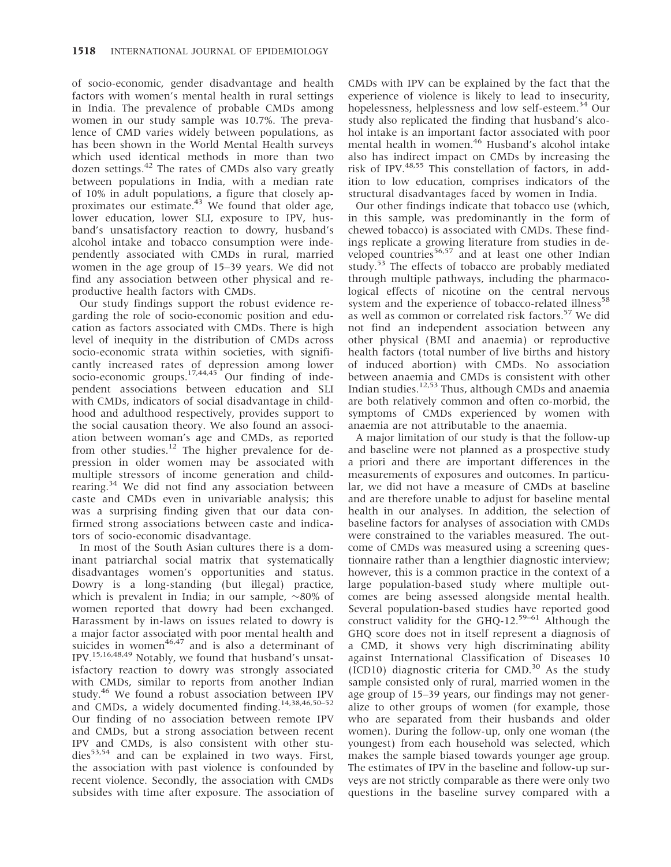of socio-economic, gender disadvantage and health factors with women's mental health in rural settings in India. The prevalence of probable CMDs among women in our study sample was 10.7%. The prevalence of CMD varies widely between populations, as has been shown in the World Mental Health surveys which used identical methods in more than two dozen settings.<sup>42</sup> The rates of CMDs also vary greatly between populations in India, with a median rate of 10% in adult populations, a figure that closely approximates our estimate.<sup>43</sup> We found that older age, lower education, lower SLI, exposure to IPV, husband's unsatisfactory reaction to dowry, husband's alcohol intake and tobacco consumption were independently associated with CMDs in rural, married women in the age group of 15–39 years. We did not find any association between other physical and reproductive health factors with CMDs.

Our study findings support the robust evidence regarding the role of socio-economic position and education as factors associated with CMDs. There is high level of inequity in the distribution of CMDs across socio-economic strata within societies, with significantly increased rates of depression among lower socio-economic groups.<sup>17,44,45</sup> Our finding of independent associations between education and SLI with CMDs, indicators of social disadvantage in childhood and adulthood respectively, provides support to the social causation theory. We also found an association between woman's age and CMDs, as reported from other studies.<sup>12</sup> The higher prevalence for depression in older women may be associated with multiple stressors of income generation and childrearing.<sup>34</sup> We did not find any association between caste and CMDs even in univariable analysis; this was a surprising finding given that our data confirmed strong associations between caste and indicators of socio-economic disadvantage.

In most of the South Asian cultures there is a dominant patriarchal social matrix that systematically disadvantages women's opportunities and status. Dowry is a long-standing (but illegal) practice, which is prevalent in India; in our sample,  $\sim$ 80% of women reported that dowry had been exchanged. Harassment by in-laws on issues related to dowry is a major factor associated with poor mental health and suicides in women $46,47$  and is also a determinant of IPV.15,16,48,49 Notably, we found that husband's unsatisfactory reaction to dowry was strongly associated with CMDs, similar to reports from another Indian study.<sup>46</sup> We found a robust association between IPV and CMDs, a widely documented finding.<sup>14,38,46,50-52</sup> Our finding of no association between remote IPV and CMDs, but a strong association between recent IPV and CMDs, is also consistent with other stu $dies<sup>53,54</sup>$  and can be explained in two ways. First, the association with past violence is confounded by recent violence. Secondly, the association with CMDs subsides with time after exposure. The association of

CMDs with IPV can be explained by the fact that the experience of violence is likely to lead to insecurity, hopelessness, helplessness and low self-esteem.<sup>34</sup> Our study also replicated the finding that husband's alcohol intake is an important factor associated with poor mental health in women.<sup>46</sup> Husband's alcohol intake also has indirect impact on CMDs by increasing the risk of IPV.48,55 This constellation of factors, in addition to low education, comprises indicators of the structural disadvantages faced by women in India.

Our other findings indicate that tobacco use (which, in this sample, was predominantly in the form of chewed tobacco) is associated with CMDs. These findings replicate a growing literature from studies in developed countries<sup>56,57</sup> and at least one other Indian study.<sup>53</sup> The effects of tobacco are probably mediated through multiple pathways, including the pharmacological effects of nicotine on the central nervous system and the experience of tobacco-related illness<sup>58</sup> as well as common or correlated risk factors.<sup>57</sup> We did not find an independent association between any other physical (BMI and anaemia) or reproductive health factors (total number of live births and history of induced abortion) with CMDs. No association between anaemia and CMDs is consistent with other Indian studies. $12,53$  Thus, although CMDs and anaemia are both relatively common and often co-morbid, the symptoms of CMDs experienced by women with anaemia are not attributable to the anaemia.

A major limitation of our study is that the follow-up and baseline were not planned as a prospective study a priori and there are important differences in the measurements of exposures and outcomes. In particular, we did not have a measure of CMDs at baseline and are therefore unable to adjust for baseline mental health in our analyses. In addition, the selection of baseline factors for analyses of association with CMDs were constrained to the variables measured. The outcome of CMDs was measured using a screening questionnaire rather than a lengthier diagnostic interview; however, this is a common practice in the context of a large population-based study where multiple outcomes are being assessed alongside mental health. Several population-based studies have reported good construct validity for the GHQ-12.<sup>59–61</sup> Although the GHQ score does not in itself represent a diagnosis of a CMD, it shows very high discriminating ability against International Classification of Diseases 10 (ICD10) diagnostic criteria for CMD. $30$  As the study sample consisted only of rural, married women in the age group of 15–39 years, our findings may not generalize to other groups of women (for example, those who are separated from their husbands and older women). During the follow-up, only one woman (the youngest) from each household was selected, which makes the sample biased towards younger age group. The estimates of IPV in the baseline and follow-up surveys are not strictly comparable as there were only two questions in the baseline survey compared with a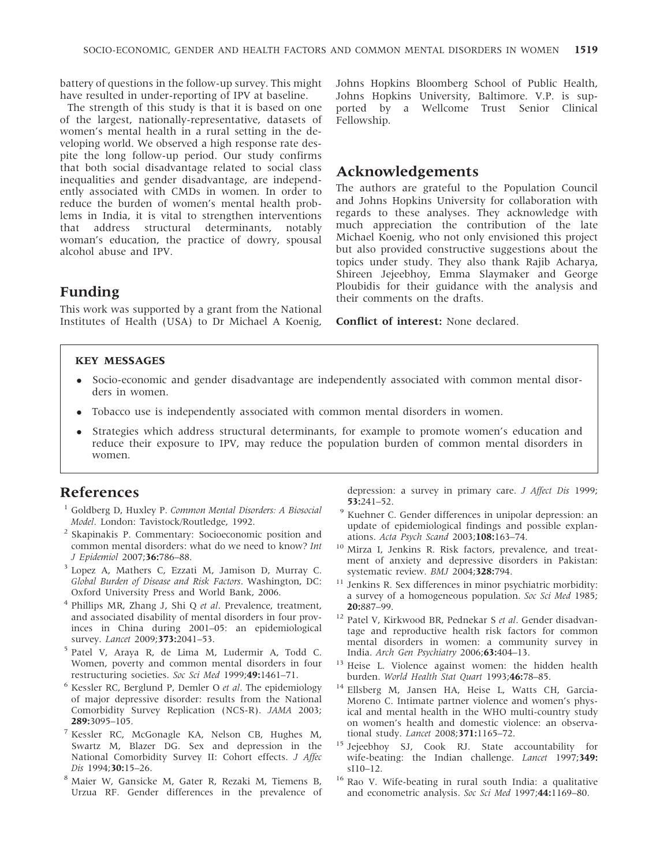battery of questions in the follow-up survey. This might have resulted in under-reporting of IPV at baseline.

The strength of this study is that it is based on one of the largest, nationally-representative, datasets of women's mental health in a rural setting in the developing world. We observed a high response rate despite the long follow-up period. Our study confirms that both social disadvantage related to social class inequalities and gender disadvantage, are independently associated with CMDs in women. In order to reduce the burden of women's mental health problems in India, it is vital to strengthen interventions that address structural determinants, notably woman's education, the practice of dowry, spousal alcohol abuse and IPV.

# Funding

This work was supported by a grant from the National Institutes of Health (USA) to Dr Michael A Koenig,

Johns Hopkins Bloomberg School of Public Health, Johns Hopkins University, Baltimore. V.P. is supported by a Wellcome Trust Senior Clinical Fellowship.

# Acknowledgements

The authors are grateful to the Population Council and Johns Hopkins University for collaboration with regards to these analyses. They acknowledge with much appreciation the contribution of the late Michael Koenig, who not only envisioned this project but also provided constructive suggestions about the topics under study. They also thank Rajib Acharya, Shireen Jejeebhoy, Emma Slaymaker and George Ploubidis for their guidance with the analysis and their comments on the drafts.

Conflict of interest: None declared.

#### KEY MESSAGES

- Socio-economic and gender disadvantage are independently associated with common mental disorders in women.
- Tobacco use is independently associated with common mental disorders in women.
- Strategies which address structural determinants, for example to promote women's education and reduce their exposure to IPV, may reduce the population burden of common mental disorders in women.

# References

- <sup>1</sup> Goldberg D, Huxley P. Common Mental Disorders: A Biosocial Model. London: Tavistock/Routledge, 1992.
- <sup>2</sup> Skapinakis P. Commentary: Socioeconomic position and common mental disorders: what do we need to know? Int J Epidemiol 2007;36:786–88.
- <sup>3</sup> Lopez A, Mathers C, Ezzati M, Jamison D, Murray C. Global Burden of Disease and Risk Factors. Washington, DC: Oxford University Press and World Bank, 2006.
- $4$  Phillips MR, Zhang J, Shi Q et al. Prevalence, treatment, and associated disability of mental disorders in four provinces in China during 2001–05: an epidemiological survey. Lancet 2009;373:2041-53.
- <sup>5</sup> Patel V, Araya R, de Lima M, Ludermir A, Todd C. Women, poverty and common mental disorders in four restructuring societies. Soc Sci Med 1999;49:1461–71.
- <sup>6</sup> Kessler RC, Berglund P, Demler O et al. The epidemiology of major depressive disorder: results from the National Comorbidity Survey Replication (NCS-R). JAMA 2003; 289:3095–105.
- <sup>7</sup> Kessler RC, McGonagle KA, Nelson CB, Hughes M, Swartz M, Blazer DG. Sex and depression in the National Comorbidity Survey II: Cohort effects. J Affec Dis 1994;30:15-26.
- <sup>8</sup> Maier W, Gansicke M, Gater R, Rezaki M, Tiemens B, Urzua RF. Gender differences in the prevalence of

depression: a survey in primary care. J Affect Dis 1999; 53:241–52.

- <sup>9</sup> Kuehner C. Gender differences in unipolar depression: an update of epidemiological findings and possible explanations. Acta Psych Scand 2003;108:163–74.
- <sup>10</sup> Mirza I, Jenkins R. Risk factors, prevalence, and treatment of anxiety and depressive disorders in Pakistan: systematic review. BMJ 2004;328:794.
- $^{11}$  Jenkins R. Sex differences in minor psychiatric morbidity: a survey of a homogeneous population. Soc Sci Med 1985; 20:887–99.
- <sup>12</sup> Patel V, Kirkwood BR, Pednekar S et al. Gender disadvantage and reproductive health risk factors for common mental disorders in women: a community survey in India. Arch Gen Psychiatry 2006;63:404–13.
- <sup>13</sup> Heise L. Violence against women: the hidden health burden. World Health Stat Quart 1993;46:78–85.
- <sup>14</sup> Ellsberg M, Jansen HA, Heise L, Watts CH, Garcia-Moreno C. Intimate partner violence and women's physical and mental health in the WHO multi-country study on women's health and domestic violence: an observational study. Lancet 2008;371:1165–72.
- <sup>15</sup> Jejeebhoy SJ, Cook RJ. State accountability for wife-beating: the Indian challenge. Lancet 1997;349: sI10–12.
- <sup>16</sup> Rao V. Wife-beating in rural south India: a qualitative and econometric analysis. Soc Sci Med 1997;44:1169-80.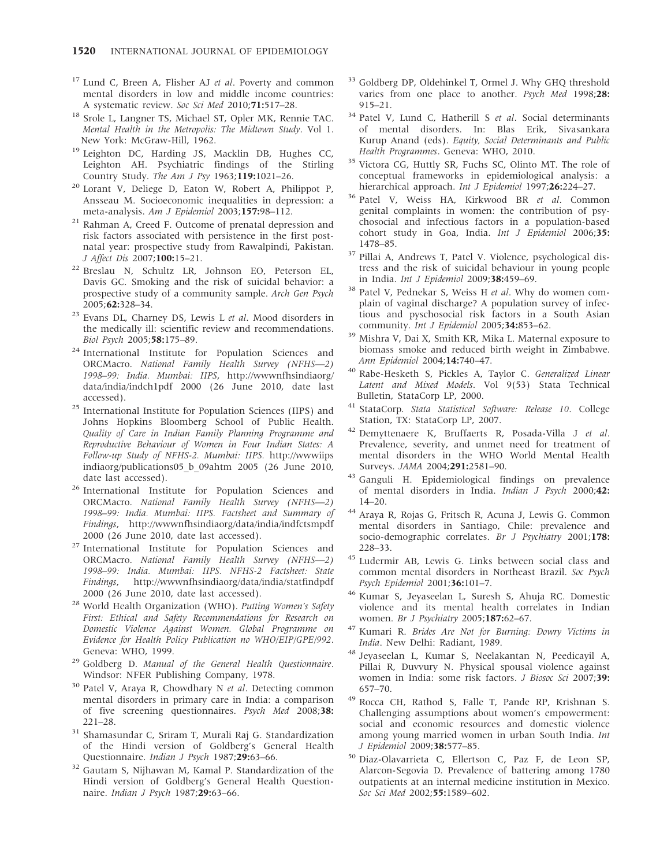- $17$  Lund C, Breen A, Flisher AJ et al. Poverty and common mental disorders in low and middle income countries: A systematic review. Soc Sci Med 2010;71:517–28.
- <sup>18</sup> Srole L, Langner TS, Michael ST, Opler MK, Rennie TAC. Mental Health in the Metropolis: The Midtown Study. Vol 1. New York: McGraw-Hill, 1962.
- <sup>19</sup> Leighton DC, Harding JS, Macklin DB, Hughes CC, Leighton AH. Psychiatric findings of the Stirling Country Study. The Am J Psy 1963;119:1021–26.
- <sup>20</sup> Lorant V, Deliege D, Eaton W, Robert A, Philippot P, Ansseau M. Socioeconomic inequalities in depression: a meta-analysis. Am J Epidemiol 2003;157:98–112.
- <sup>21</sup> Rahman A, Creed F. Outcome of prenatal depression and risk factors associated with persistence in the first postnatal year: prospective study from Rawalpindi, Pakistan. J Affect Dis 2007;100:15–21.
- <sup>22</sup> Breslau N, Schultz LR, Johnson EO, Peterson EL, Davis GC. Smoking and the risk of suicidal behavior: a prospective study of a community sample. Arch Gen Psych 2005;62:328–34.
- $23$  Evans DL, Charney DS, Lewis L et al. Mood disorders in the medically ill: scientific review and recommendations. Biol Psych 2005;58:175–89.
- <sup>24</sup> International Institute for Population Sciences and ORCMacro. National Family Health Survey (NFHS—2) 1998–99: India. Mumbai: IIPS,<http://wwwnfhsindiaorg/> data/india/indch1pdf 2000 (26 June 2010, date last accessed).
- <sup>25</sup> International Institute for Population Sciences (IIPS) and Johns Hopkins Bloomberg School of Public Health. Quality of Care in Indian Family Planning Programme and Reproductive Behaviour of Women in Four Indian States: A Follow-up Study of NFHS-2. Mumbai: IIPS. <http://wwwiips> indiaorg/publications05\_b\_09ahtm 2005 (26 June 2010, date last accessed).
- <sup>26</sup> International Institute for Population Sciences and ORCMacro. National Family Health Survey (NFHS—2) 1998–99: India. Mumbai: IIPS. Factsheet and Summary of Findings,<http://wwwnfhsindiaorg/data/india/indfctsmpdf> 2000 (26 June 2010, date last accessed).
- <sup>27</sup> International Institute for Population Sciences and ORCMacro. National Family Health Survey (NFHS—2) 1998–99: India. Mumbai: IIPS. NFHS-2 Factsheet: State Findings,<http://wwwnfhsindiaorg/data/india/statfindpdf> 2000 (26 June 2010, date last accessed).
- <sup>28</sup> World Health Organization (WHO). Putting Women's Safety First: Ethical and Safety Recommendations for Research on Domestic Violence Against Women. Global Programme on Evidence for Health Policy Publication no WHO/EIP/GPE/992. Geneva: WHO, 1999.
- <sup>29</sup> Goldberg D. Manual of the General Health Questionnaire. Windsor: NFER Publishing Company, 1978.
- <sup>30</sup> Patel V, Araya R, Chowdhary N et al. Detecting common mental disorders in primary care in India: a comparison of five screening questionnaires. Psych Med 2008;38: 221–28.
- <sup>31</sup> Shamasundar C, Sriram T, Murali Raj G. Standardization of the Hindi version of Goldberg's General Health Questionnaire. Indian J Psych 1987;29:63-66.
- <sup>32</sup> Gautam S, Nijhawan M, Kamal P. Standardization of the Hindi version of Goldberg's General Health Questionnaire. Indian J Psych 1987;29:63–66.
- <sup>33</sup> Goldberg DP, Oldehinkel T, Ormel J. Why GHQ threshold varies from one place to another. Psych Med 1998;28: 915–21.
- <sup>34</sup> Patel V, Lund C, Hatherill S et al. Social determinants of mental disorders. In: Blas Erik, Sivasankara Kurup Anand (eds). Equity, Social Determinants and Public Health Programmes. Geneva: WHO, 2010.
- <sup>35</sup> Victora CG, Huttly SR, Fuchs SC, Olinto MT. The role of conceptual frameworks in epidemiological analysis: a hierarchical approach. Int J Epidemiol 1997;26:224-27.
- <sup>36</sup> Patel V, Weiss HA, Kirkwood BR et al. Common genital complaints in women: the contribution of psychosocial and infectious factors in a population-based cohort study in Goa, India. Int J Epidemiol 2006;35: 1478–85.
- <sup>37</sup> Pillai A, Andrews T, Patel V. Violence, psychological distress and the risk of suicidal behaviour in young people in India. Int J Epidemiol 2009;38:459–69.
- <sup>38</sup> Patel V, Pednekar S, Weiss H et al. Why do women complain of vaginal discharge? A population survey of infectious and pyschosocial risk factors in a South Asian community. Int J Epidemiol 2005;34:853-62.
- <sup>39</sup> Mishra V, Dai X, Smith KR, Mika L. Maternal exposure to biomass smoke and reduced birth weight in Zimbabwe. Ann Epidemiol 2004;14:740–47.
- <sup>40</sup> Rabe-Hesketh S, Pickles A, Taylor C. Generalized Linear Latent and Mixed Models. Vol 9(53) Stata Technical Bulletin, StataCorp LP, 2000.
- <sup>41</sup> StataCorp. Stata Statistical Software: Release 10. College Station, TX: StataCorp LP, 2007.
- <sup>42</sup> Demyttenaere K, Bruffaerts R, Posada-Villa J et al. Prevalence, severity, and unmet need for treatment of mental disorders in the WHO World Mental Health Surveys. JAMA 2004;291:2581–90.
- <sup>43</sup> Ganguli H. Epidemiological findings on prevalence of mental disorders in India. Indian J Psych 2000;42: 14–20.
- <sup>44</sup> Araya R, Rojas G, Fritsch R, Acuna J, Lewis G. Common mental disorders in Santiago, Chile: prevalence and socio-demographic correlates. Br J Psychiatry 2001;178: 228–33.
- <sup>45</sup> Ludermir AB, Lewis G. Links between social class and common mental disorders in Northeast Brazil. Soc Psych Psych Epidemiol 2001;36:101–7.
- <sup>46</sup> Kumar S, Jeyaseelan L, Suresh S, Ahuja RC. Domestic violence and its mental health correlates in Indian women. Br J Psychiatry 2005;187:62–67.
- <sup>47</sup> Kumari R. Brides Are Not for Burning: Dowry Victims in India. New Delhi: Radiant, 1989.
- <sup>48</sup> Jeyaseelan L, Kumar S, Neelakantan N, Peedicayil A, Pillai R, Duvvury N. Physical spousal violence against women in India: some risk factors. J Biosoc Sci 2007;39: 657–70.
- <sup>49</sup> Rocca CH, Rathod S, Falle T, Pande RP, Krishnan S. Challenging assumptions about women's empowerment: social and economic resources and domestic violence among young married women in urban South India. Int J Epidemiol 2009;38:577–85.
- <sup>50</sup> Diaz-Olavarrieta C, Ellertson C, Paz F, de Leon SP, Alarcon-Segovia D. Prevalence of battering among 1780 outpatients at an internal medicine institution in Mexico. Soc Sci Med 2002;55:1589-602.